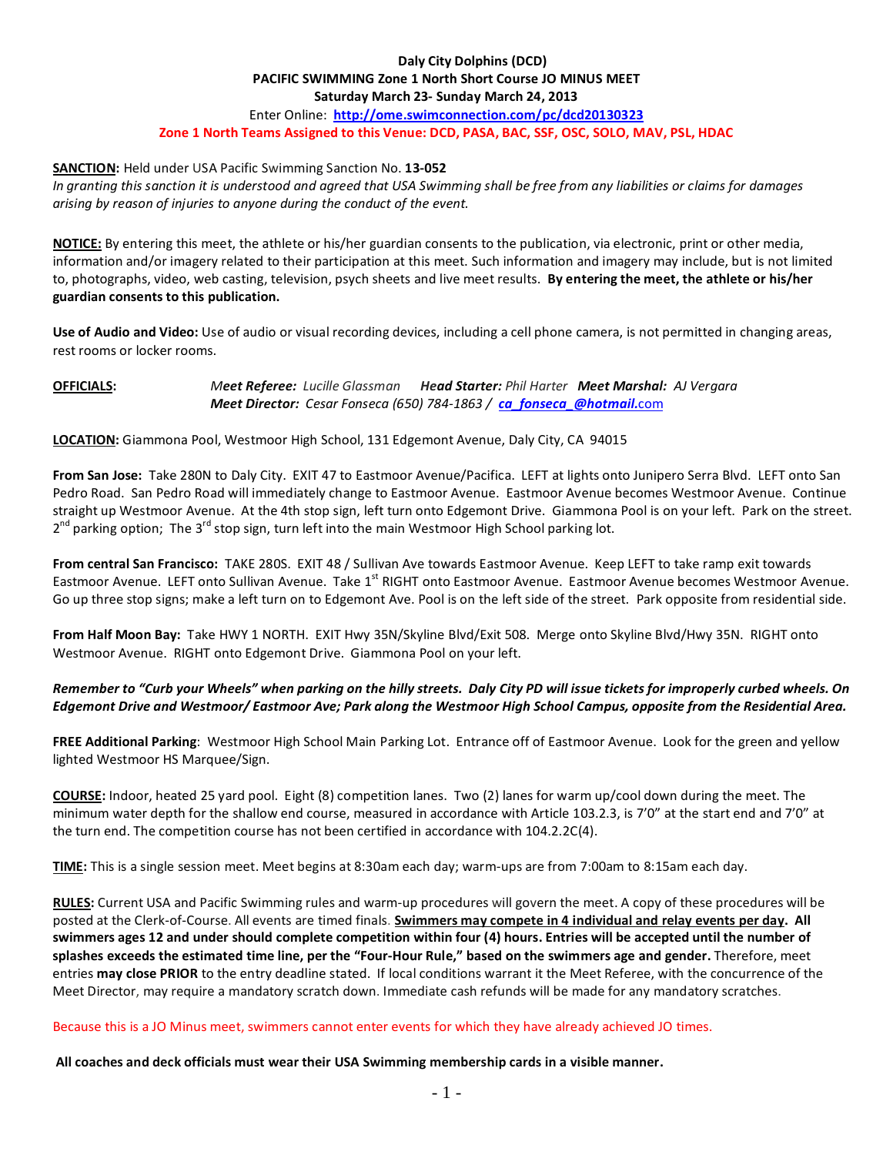### **Daly City Dolphins (DCD) PACIFIC SWIMMING Zone 1 North Short Course JO MINUS MEET Saturday March 23- Sunday March 24, 2013** Enter Online: **<http://ome.swimconnection.com/pc/dcd20130323> Zone 1 North Teams Assigned to this Venue: DCD, PASA, BAC, SSF, OSC, SOLO, MAV, PSL, HDAC**

### **SANCTION:** Held under USA Pacific Swimming Sanction No. **13-052**

*In granting this sanction it is understood and agreed that USA Swimming shall be free from any liabilities or claims for damages arising by reason of injuries to anyone during the conduct of the event.*

**NOTICE:** By entering this meet, the athlete or his/her guardian consents to the publication, via electronic, print or other media, information and/or imagery related to their participation at this meet. Such information and imagery may include, but is not limited to, photographs, video, web casting, television, psych sheets and live meet results. **By entering the meet, the athlete or his/her guardian consents to this publication.**

**Use of Audio and Video:** Use of audio or visual recording devices, including a cell phone camera, is not permitted in changing areas, rest rooms or locker rooms.

## **OFFICIALS:** *Meet Referee: Lucille Glassman Head Starter: Phil Harter Meet Marshal: AJ Vergara Meet Director: Cesar Fonseca (650) 784-1863 / [ca\\_fonseca\\_@hotmail.](mailto:ca_fonseca_@hotmail.com)*com

**LOCATION:** Giammona Pool, Westmoor High School, 131 Edgemont Avenue, Daly City, CA 94015

**From San Jose:** Take 280N to Daly City. EXIT 47 to Eastmoor Avenue/Pacifica. LEFT at lights onto Junipero Serra Blvd. LEFT onto San Pedro Road. San Pedro Road will immediately change to Eastmoor Avenue. Eastmoor Avenue becomes Westmoor Avenue. Continue straight up Westmoor Avenue. At the 4th stop sign, left turn onto Edgemont Drive. Giammona Pool is on your left. Park on the street. 2<sup>nd</sup> parking option; The 3<sup>rd</sup> stop sign, turn left into the main Westmoor High School parking lot.

**From central San Francisco:** TAKE 280S. EXIT 48 / Sullivan Ave towards Eastmoor Avenue. Keep LEFT to take ramp exit towards Eastmoor Avenue. LEFT onto Sullivan Avenue. Take 1<sup>st</sup> RIGHT onto Eastmoor Avenue. Eastmoor Avenue becomes Westmoor Avenue. Go up three stop signs; make a left turn on to Edgemont Ave. Pool is on the left side of the street. Park opposite from residential side.

**From Half Moon Bay:** Take HWY 1 NORTH. EXIT Hwy 35N/Skyline Blvd/Exit 508. Merge onto Skyline Blvd/Hwy 35N. RIGHT onto Westmoor Avenue. RIGHT onto Edgemont Drive. Giammona Pool on your left.

# *Remember to "Curb your Wheels" when parking on the hilly streets. Daly City PD will issue tickets for improperly curbed wheels. On Edgemont Drive and Westmoor/ Eastmoor Ave; Park along the Westmoor High School Campus, opposite from the Residential Area.*

**FREE Additional Parking**: Westmoor High School Main Parking Lot. Entrance off of Eastmoor Avenue. Look for the green and yellow lighted Westmoor HS Marquee/Sign.

**COURSE:** Indoor, heated 25 yard pool. Eight (8) competition lanes. Two (2) lanes for warm up/cool down during the meet. The minimum water depth for the shallow end course, measured in accordance with Article 103.2.3, is 7'0" at the start end and 7'0" at the turn end. The competition course has not been certified in accordance with 104.2.2C(4).

**TIME:** This is a single session meet. Meet begins at 8:30am each day; warm-ups are from 7:00am to 8:15am each day.

**RULES:** Current USA and Pacific Swimming rules and warm-up procedures will govern the meet. A copy of these procedures will be posted at the Clerk-of-Course. All events are timed finals. **Swimmers may compete in 4 individual and relay events per day. All swimmers ages 12 and under should complete competition within four (4) hours. Entries will be accepted until the number of splashes exceeds the estimated time line, per the "Four-Hour Rule," based on the swimmers age and gender.** Therefore, meet entries **may close PRIOR** to the entry deadline stated. If local conditions warrant it the Meet Referee, with the concurrence of the Meet Director, may require a mandatory scratch down. Immediate cash refunds will be made for any mandatory scratches.

## Because this is a JO Minus meet, swimmers cannot enter events for which they have already achieved JO times.

**All coaches and deck officials must wear their USA Swimming membership cards in a visible manner.**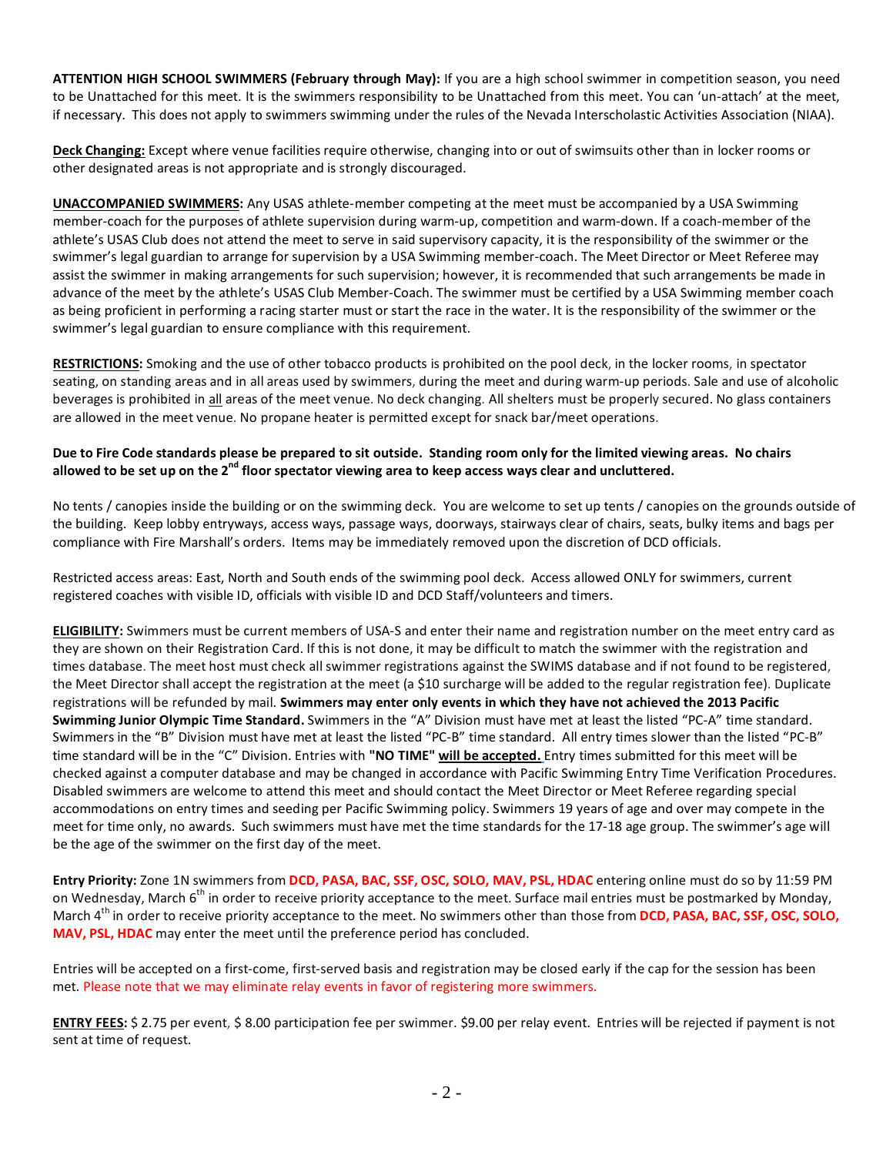**ATTENTION HIGH SCHOOL SWIMMERS (February through May):** If you are a high school swimmer in competition season, you need to be Unattached for this meet. It is the swimmers responsibility to be Unattached from this meet. You can 'un-attach' at the meet, if necessary. This does not apply to swimmers swimming under the rules of the Nevada Interscholastic Activities Association (NIAA).

**Deck Changing:** Except where venue facilities require otherwise, changing into or out of swimsuits other than in locker rooms or other designated areas is not appropriate and is strongly discouraged.

**UNACCOMPANIED SWIMMERS:** Any USAS athlete-member competing at the meet must be accompanied by a USA Swimming member-coach for the purposes of athlete supervision during warm-up, competition and warm-down. If a coach-member of the athlete's USAS Club does not attend the meet to serve in said supervisory capacity, it is the responsibility of the swimmer or the swimmer's legal guardian to arrange for supervision by a USA Swimming member-coach. The Meet Director or Meet Referee may assist the swimmer in making arrangements for such supervision; however, it is recommended that such arrangements be made in advance of the meet by the athlete's USAS Club Member-Coach. The swimmer must be certified by a USA Swimming member coach as being proficient in performing a racing starter must or start the race in the water. It is the responsibility of the swimmer or the swimmer's legal guardian to ensure compliance with this requirement.

**RESTRICTIONS:** Smoking and the use of other tobacco products is prohibited on the pool deck, in the locker rooms, in spectator seating, on standing areas and in all areas used by swimmers, during the meet and during warm-up periods. Sale and use of alcoholic beverages is prohibited in all areas of the meet venue. No deck changing. All shelters must be properly secured. No glass containers are allowed in the meet venue. No propane heater is permitted except for snack bar/meet operations.

# **Due to Fire Code standards please be prepared to sit outside. Standing room only for the limited viewing areas. No chairs allowed to be set up on the 2nd floor spectator viewing area to keep access ways clear and uncluttered.**

No tents / canopies inside the building or on the swimming deck. You are welcome to set up tents / canopies on the grounds outside of the building. Keep lobby entryways, access ways, passage ways, doorways, stairways clear of chairs, seats, bulky items and bags per compliance with Fire Marshall's orders. Items may be immediately removed upon the discretion of DCD officials.

Restricted access areas: East, North and South ends of the swimming pool deck. Access allowed ONLY for swimmers, current registered coaches with visible ID, officials with visible ID and DCD Staff/volunteers and timers.

**ELIGIBILITY:** Swimmers must be current members of USA-S and enter their name and registration number on the meet entry card as they are shown on their Registration Card. If this is not done, it may be difficult to match the swimmer with the registration and times database. The meet host must check all swimmer registrations against the SWIMS database and if not found to be registered, the Meet Director shall accept the registration at the meet (a \$10 surcharge will be added to the regular registration fee). Duplicate registrations will be refunded by mail. **Swimmers may enter only events in which they have not achieved the 2013 Pacific Swimming Junior Olympic Time Standard.** Swimmers in the "A" Division must have met at least the listed "PC-A" time standard. Swimmers in the "B" Division must have met at least the listed "PC-B" time standard. All entry times slower than the listed "PC-B" time standard will be in the "C" Division. Entries with **"NO TIME" will be accepted.** Entry times submitted for this meet will be checked against a computer database and may be changed in accordance with Pacific Swimming Entry Time Verification Procedures. Disabled swimmers are welcome to attend this meet and should contact the Meet Director or Meet Referee regarding special accommodations on entry times and seeding per Pacific Swimming policy. Swimmers 19 years of age and over may compete in the meet for time only, no awards. Such swimmers must have met the time standards for the 17-18 age group. The swimmer's age will be the age of the swimmer on the first day of the meet.

**Entry Priority:** Zone 1N swimmers from **DCD, PASA, BAC, SSF, OSC, SOLO, MAV, PSL, HDAC** entering online must do so by 11:59 PM on Wednesday, March 6<sup>th</sup> in order to receive priority acceptance to the meet. Surface mail entries must be postmarked by Monday, March 4<sup>th</sup> in order to receive priority acceptance to the meet. No swimmers other than those from **DCD, PASA, BAC, SSF, OSC, SOLO, MAV, PSL, HDAC** may enter the meet until the preference period has concluded.

Entries will be accepted on a first-come, first-served basis and registration may be closed early if the cap for the session has been met. Please note that we may eliminate relay events in favor of registering more swimmers.

**ENTRY FEES:** \$ 2.75 per event, \$ 8.00 participation fee per swimmer. \$9.00 per relay event. Entries will be rejected if payment is not sent at time of request.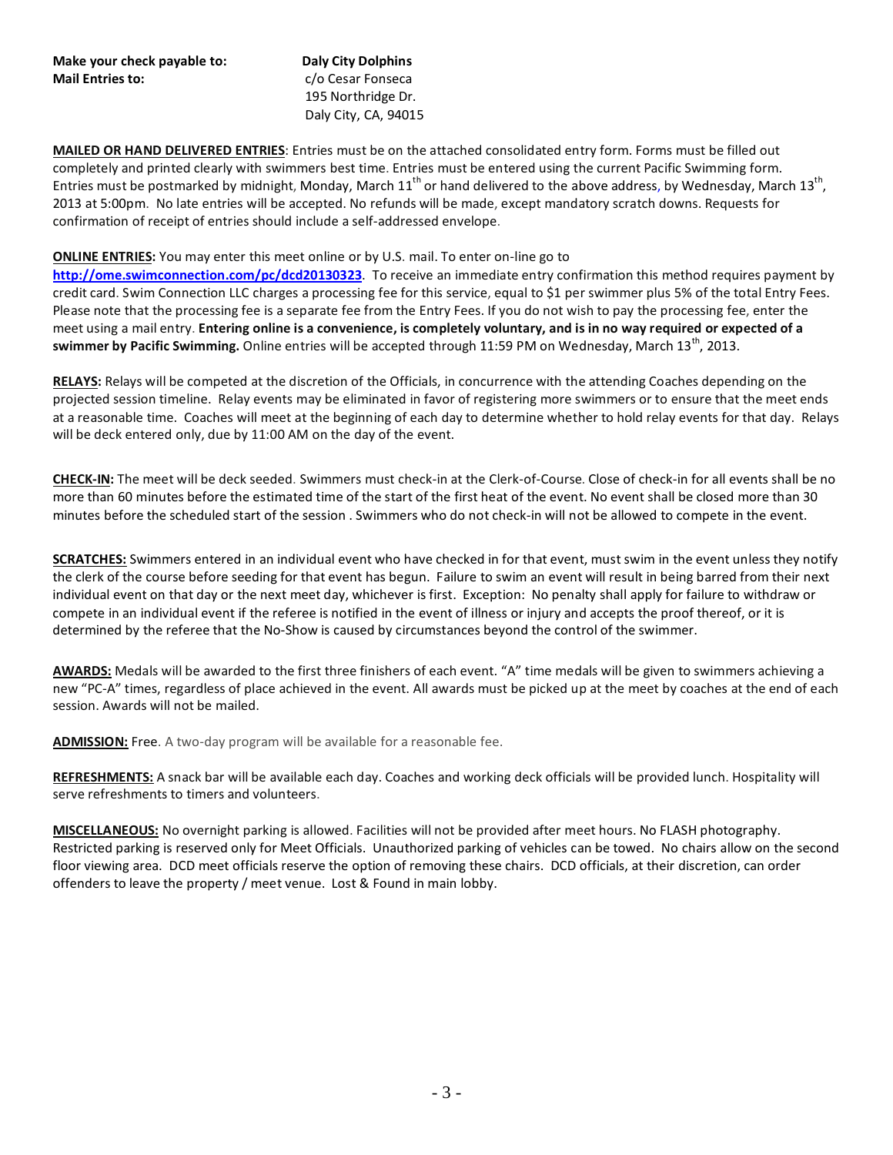### **Make your check payable to: Daly City Dolphins Mail Entries to:** C/o Cesar Fonsecal

195 Northridge Dr. Daly City, CA, 94015

**MAILED OR HAND DELIVERED ENTRIES**: Entries must be on the attached consolidated entry form. Forms must be filled out completely and printed clearly with swimmers best time. Entries must be entered using the current Pacific Swimming form. Entries must be postmarked by midnight, Monday, March  $11^{th}$  or hand delivered to the above address, by Wednesday, March  $13^{th}$ , 2013 at 5:00pm. No late entries will be accepted. No refunds will be made, except mandatory scratch downs. Requests for confirmation of receipt of entries should include a self-addressed envelope.

# **ONLINE ENTRIES:** You may enter this meet online or by U.S. mail. To enter on-line go to

**<http://ome.swimconnection.com/pc/dcd20130323>**. To receive an immediate entry confirmation this method requires payment by credit card. Swim Connection LLC charges a processing fee for this service, equal to \$1 per swimmer plus 5% of the total Entry Fees. Please note that the processing fee is a separate fee from the Entry Fees. If you do not wish to pay the processing fee, enter the meet using a mail entry. **Entering online is a convenience, is completely voluntary, and is in no way required or expected of a swimmer by Pacific Swimming.** Online entries will be accepted through 11:59 PM on Wednesday, March 13<sup>th</sup>, 2013.

**RELAYS:** Relays will be competed at the discretion of the Officials, in concurrence with the attending Coaches depending on the projected session timeline. Relay events may be eliminated in favor of registering more swimmers or to ensure that the meet ends at a reasonable time. Coaches will meet at the beginning of each day to determine whether to hold relay events for that day. Relays will be deck entered only, due by 11:00 AM on the day of the event.

**CHECK-IN:** The meet will be deck seeded. Swimmers must check-in at the Clerk-of-Course. Close of check-in for all events shall be no more than 60 minutes before the estimated time of the start of the first heat of the event. No event shall be closed more than 30 minutes before the scheduled start of the session . Swimmers who do not check-in will not be allowed to compete in the event.

**SCRATCHES:** Swimmers entered in an individual event who have checked in for that event, must swim in the event unless they notify the clerk of the course before seeding for that event has begun. Failure to swim an event will result in being barred from their next individual event on that day or the next meet day, whichever is first. Exception: No penalty shall apply for failure to withdraw or compete in an individual event if the referee is notified in the event of illness or injury and accepts the proof thereof, or it is determined by the referee that the No-Show is caused by circumstances beyond the control of the swimmer.

**AWARDS:** Medals will be awarded to the first three finishers of each event. "A" time medals will be given to swimmers achieving a new "PC-A" times, regardless of place achieved in the event. All awards must be picked up at the meet by coaches at the end of each session. Awards will not be mailed.

**ADMISSION:** Free. A two-day program will be available for a reasonable fee.

**REFRESHMENTS:** A snack bar will be available each day. Coaches and working deck officials will be provided lunch. Hospitality will serve refreshments to timers and volunteers.

**MISCELLANEOUS:** No overnight parking is allowed. Facilities will not be provided after meet hours. No FLASH photography. Restricted parking is reserved only for Meet Officials. Unauthorized parking of vehicles can be towed. No chairs allow on the second floor viewing area. DCD meet officials reserve the option of removing these chairs. DCD officials, at their discretion, can order offenders to leave the property / meet venue. Lost & Found in main lobby.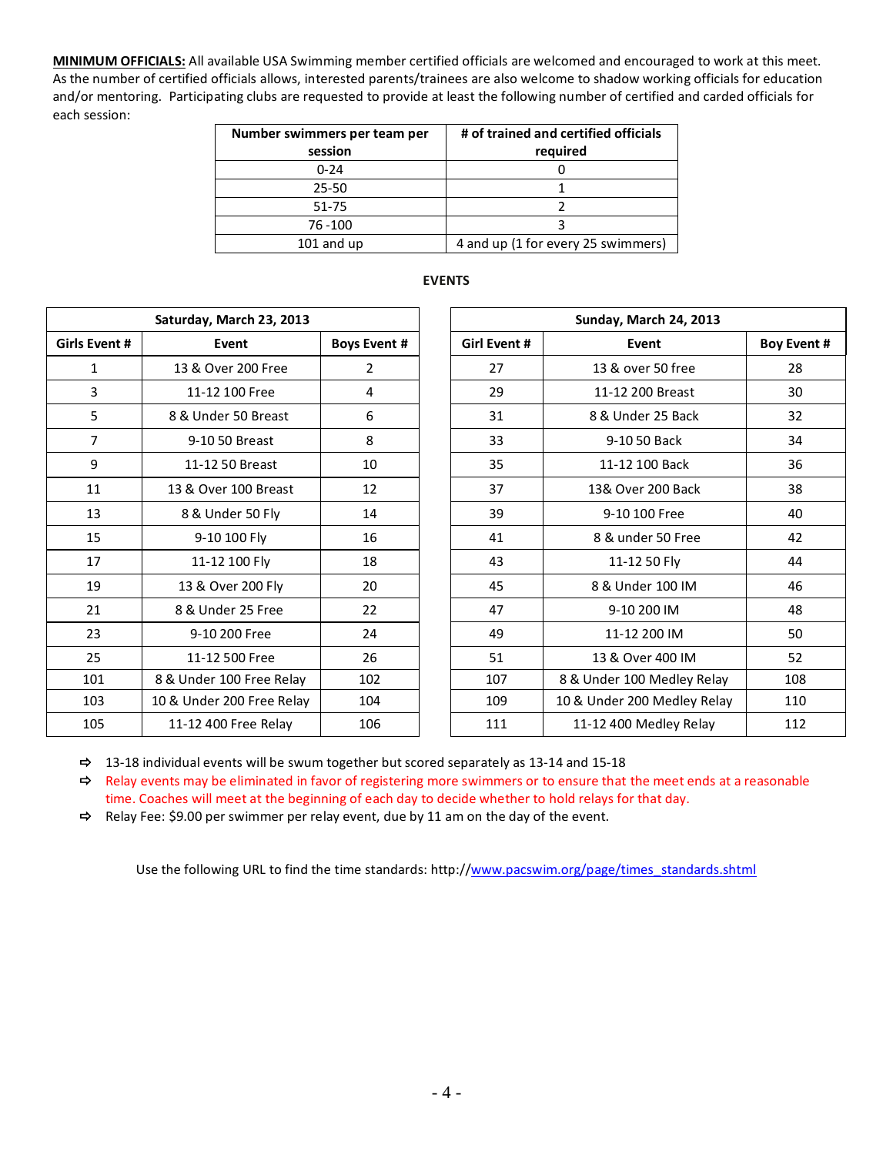**MINIMUM OFFICIALS:** All available USA Swimming member certified officials are welcomed and encouraged to work at this meet. As the number of certified officials allows, interested parents/trainees are also welcome to shadow working officials for education and/or mentoring. Participating clubs are requested to provide at least the following number of certified and carded officials for each session:

| Number swimmers per team per | # of trained and certified officials |  |  |  |
|------------------------------|--------------------------------------|--|--|--|
| session                      | required                             |  |  |  |
| $0 - 24$                     |                                      |  |  |  |
| $25 - 50$                    |                                      |  |  |  |
| 51-75                        |                                      |  |  |  |
| 76 - 100                     |                                      |  |  |  |
| $101$ and up                 | 4 and up (1 for every 25 swimmers)   |  |  |  |

| Saturday, March 23, 2013  |                     |  | Sunday, March 24, 2013 |                           |  |
|---------------------------|---------------------|--|------------------------|---------------------------|--|
| Event                     | <b>Boys Event #</b> |  | <b>Girl Event #</b>    | Event                     |  |
| 13 & Over 200 Free        | $\overline{2}$      |  | 27                     | 13 & over 50 free         |  |
| 11-12 100 Free            | 4                   |  | 29                     | 11-12 200 Breast          |  |
| 8 & Under 50 Breast       | 6                   |  | 31                     | 8 & Under 25 Back         |  |
| 9-10 50 Breast            | 8                   |  | 33                     | 9-10 50 Back              |  |
| 11-12 50 Breast           | 10                  |  | 35                     | 11-12 100 Back            |  |
| 13 & Over 100 Breast      | 12                  |  | 37                     | 13& Over 200 Back         |  |
| 8 & Under 50 Fly          | 14                  |  | 39                     | 9-10 100 Free             |  |
| 9-10 100 Fly              | 16                  |  | 41                     | 8 & under 50 Free         |  |
| 11-12 100 Fly             | 18                  |  | 43                     | 11-12 50 Fly              |  |
| 13 & Over 200 Fly         | 20                  |  | 45                     | 8 & Under 100 IM          |  |
| 8 & Under 25 Free         | 22                  |  | 47                     | 9-10 200 IM               |  |
| 9-10 200 Free             | 24                  |  | 49                     | 11-12 200 IM              |  |
| 11-12 500 Free            | 26                  |  | 51                     | 13 & Over 400 IM          |  |
| 8 & Under 100 Free Relay  | 102                 |  | 107                    | 8 & Under 100 Medley Rela |  |
| 10 & Under 200 Free Relay | 104                 |  | 109                    | 10 & Under 200 Medley Rel |  |
| 11-12 400 Free Relay      | 106                 |  | 111                    | 11-12 400 Medley Relay    |  |
|                           |                     |  |                        |                           |  |

# **EVENTS**

| Saturday, March 23, 2013 |                           |                     |
|--------------------------|---------------------------|---------------------|
| Girls Event #            | Event                     | <b>Boys Event #</b> |
| 1                        | 13 & Over 200 Free        | 2                   |
| 3                        | 11-12 100 Free            | 4                   |
| 5                        | 8 & Under 50 Breast       | 6                   |
| 7                        | 9-10 50 Breast            | 8                   |
| 9                        | 11-12 50 Breast           | 10                  |
| 11                       | 13 & Over 100 Breast      | 12                  |
| 13                       | 8 & Under 50 Fly          | 14                  |
| 15                       | 9-10 100 Fly              | 16                  |
| 17                       | 11-12 100 Fly             | 18                  |
| 19                       | 13 & Over 200 Fly         | 20                  |
| 21                       | 8 & Under 25 Free         | 22                  |
| 23                       | 9-10 200 Free             | 24                  |
| 25                       | 11-12 500 Free            | 26                  |
| 101                      | 8 & Under 100 Free Relay  | 102                 |
| 103                      | 10 & Under 200 Free Relay | 104                 |
| 105                      | 11-12 400 Free Relay      | 106                 |

 $\Rightarrow$  13-18 individual events will be swum together but scored separately as 13-14 and 15-18

 $\Rightarrow$  Relay events may be eliminated in favor of registering more swimmers or to ensure that the meet ends at a reasonable time. Coaches will meet at the beginning of each day to decide whether to hold relays for that day.

 $\Rightarrow$  Relay Fee: \$9.00 per swimmer per relay event, due by 11 am on the day of the event.

Use the following URL to find the time standards: http://www.pacswim.org/page/times\_standards.shtml